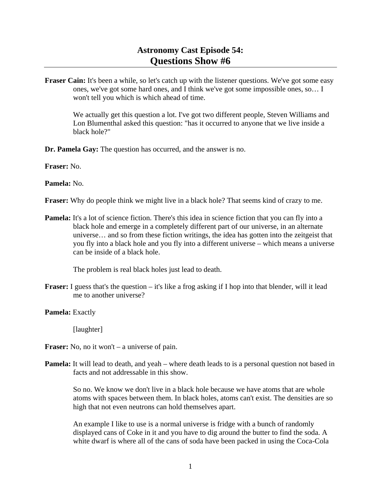# **Astronomy Cast Episode 54: Questions Show #6**

**Fraser Cain:** It's been a while, so let's catch up with the listener questions. We've got some easy ones, we've got some hard ones, and I think we've got some impossible ones, so… I won't tell you which is which ahead of time.

 We actually get this question a lot. I've got two different people, Steven Williams and Lon Blumenthal asked this question: "has it occurred to anyone that we live inside a black hole?"

**Dr. Pamela Gay:** The question has occurred, and the answer is no.

**Fraser:** No.

**Pamela:** No.

**Fraser:** Why do people think we might live in a black hole? That seems kind of crazy to me.

**Pamela:** It's a lot of science fiction. There's this idea in science fiction that you can fly into a black hole and emerge in a completely different part of our universe, in an alternate universe… and so from these fiction writings, the idea has gotten into the zeitgeist that you fly into a black hole and you fly into a different universe – which means a universe can be inside of a black hole.

The problem is real black holes just lead to death.

**Fraser:** I guess that's the question – it's like a frog asking if I hop into that blender, will it lead me to another universe?

Pamela: Exactly

[laughter]

**Fraser:** No, no it won't – a universe of pain.

**Pamela:** It will lead to death, and yeah – where death leads to is a personal question not based in facts and not addressable in this show.

 So no. We know we don't live in a black hole because we have atoms that are whole atoms with spaces between them. In black holes, atoms can't exist. The densities are so high that not even neutrons can hold themselves apart.

 An example I like to use is a normal universe is fridge with a bunch of randomly displayed cans of Coke in it and you have to dig around the butter to find the soda. A white dwarf is where all of the cans of soda have been packed in using the Coca-Cola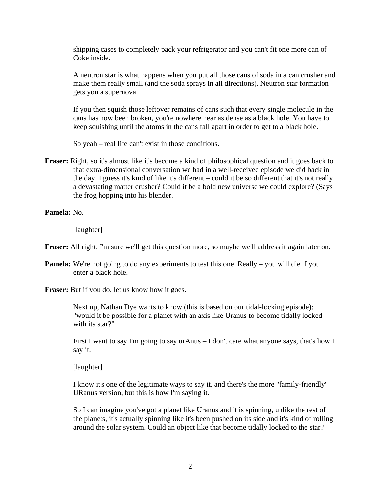shipping cases to completely pack your refrigerator and you can't fit one more can of Coke inside.

 A neutron star is what happens when you put all those cans of soda in a can crusher and make them really small (and the soda sprays in all directions). Neutron star formation gets you a supernova.

 If you then squish those leftover remains of cans such that every single molecule in the cans has now been broken, you're nowhere near as dense as a black hole. You have to keep squishing until the atoms in the cans fall apart in order to get to a black hole.

So yeah – real life can't exist in those conditions.

- **Fraser:** Right, so it's almost like it's become a kind of philosophical question and it goes back to that extra-dimensional conversation we had in a well-received episode we did back in the day. I guess it's kind of like it's different – could it be so different that it's not really a devastating matter crusher? Could it be a bold new universe we could explore? (Says the frog hopping into his blender.
- **Pamela:** No.

[laughter]

**Fraser:** All right. I'm sure we'll get this question more, so maybe we'll address it again later on.

**Pamela:** We're not going to do any experiments to test this one. Really – you will die if you enter a black hole.

**Fraser:** But if you do, let us know how it goes.

 Next up, Nathan Dye wants to know (this is based on our tidal-locking episode): "would it be possible for a planet with an axis like Uranus to become tidally locked with its star?"

 First I want to say I'm going to say urAnus – I don't care what anyone says, that's how I say it.

[laughter]

 I know it's one of the legitimate ways to say it, and there's the more "family-friendly" URanus version, but this is how I'm saying it.

 So I can imagine you've got a planet like Uranus and it is spinning, unlike the rest of the planets, it's actually spinning like it's been pushed on its side and it's kind of rolling around the solar system. Could an object like that become tidally locked to the star?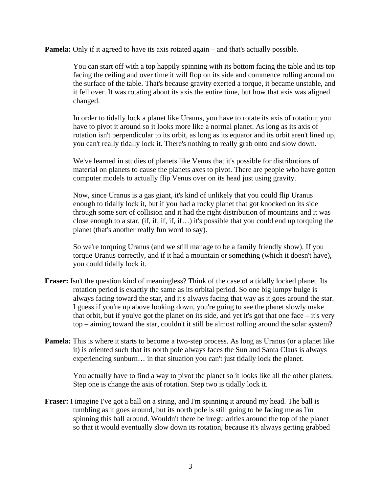**Pamela:** Only if it agreed to have its axis rotated again – and that's actually possible.

 You can start off with a top happily spinning with its bottom facing the table and its top facing the ceiling and over time it will flop on its side and commence rolling around on the surface of the table. That's because gravity exerted a torque, it became unstable, and it fell over. It was rotating about its axis the entire time, but how that axis was aligned changed.

 In order to tidally lock a planet like Uranus, you have to rotate its axis of rotation; you have to pivot it around so it looks more like a normal planet. As long as its axis of rotation isn't perpendicular to its orbit, as long as its equator and its orbit aren't lined up, you can't really tidally lock it. There's nothing to really grab onto and slow down.

 We've learned in studies of planets like Venus that it's possible for distributions of material on planets to cause the planets axes to pivot. There are people who have gotten computer models to actually flip Venus over on its head just using gravity.

 Now, since Uranus is a gas giant, it's kind of unlikely that you could flip Uranus enough to tidally lock it, but if you had a rocky planet that got knocked on its side through some sort of collision and it had the right distribution of mountains and it was close enough to a star, (if, if, if, if, if...) it's possible that you could end up torquing the planet (that's another really fun word to say).

 So we're torquing Uranus (and we still manage to be a family friendly show). If you torque Uranus correctly, and if it had a mountain or something (which it doesn't have), you could tidally lock it.

- **Fraser:** Isn't the question kind of meaningless? Think of the case of a tidally locked planet. Its rotation period is exactly the same as its orbital period. So one big lumpy bulge is always facing toward the star, and it's always facing that way as it goes around the star. I guess if you're up above looking down, you're going to see the planet slowly make that orbit, but if you've got the planet on its side, and yet it's got that one face  $-$  it's very top – aiming toward the star, couldn't it still be almost rolling around the solar system?
- **Pamela:** This is where it starts to become a two-step process. As long as Uranus (or a planet like it) is oriented such that its north pole always faces the Sun and Santa Claus is always experiencing sunburn… in that situation you can't just tidally lock the planet.

 You actually have to find a way to pivot the planet so it looks like all the other planets. Step one is change the axis of rotation. Step two is tidally lock it.

**Fraser:** I imagine I've got a ball on a string, and I'm spinning it around my head. The ball is tumbling as it goes around, but its north pole is still going to be facing me as I'm spinning this ball around. Wouldn't there be irregularities around the top of the planet so that it would eventually slow down its rotation, because it's always getting grabbed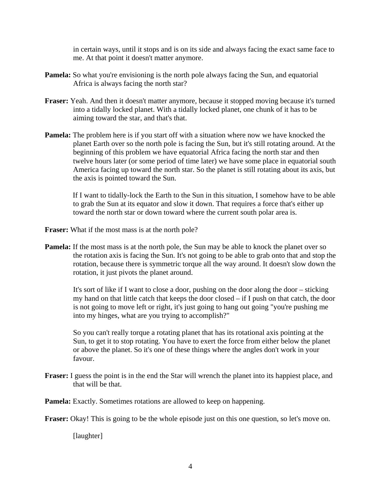in certain ways, until it stops and is on its side and always facing the exact same face to me. At that point it doesn't matter anymore.

- **Pamela:** So what you're envisioning is the north pole always facing the Sun, and equatorial Africa is always facing the north star?
- **Fraser:** Yeah. And then it doesn't matter anymore, because it stopped moving because it's turned into a tidally locked planet. With a tidally locked planet, one chunk of it has to be aiming toward the star, and that's that.
- **Pamela:** The problem here is if you start off with a situation where now we have knocked the planet Earth over so the north pole is facing the Sun, but it's still rotating around. At the beginning of this problem we have equatorial Africa facing the north star and then twelve hours later (or some period of time later) we have some place in equatorial south America facing up toward the north star. So the planet is still rotating about its axis, but the axis is pointed toward the Sun.

 If I want to tidally-lock the Earth to the Sun in this situation, I somehow have to be able to grab the Sun at its equator and slow it down. That requires a force that's either up toward the north star or down toward where the current south polar area is.

**Fraser:** What if the most mass is at the north pole?

**Pamela:** If the most mass is at the north pole, the Sun may be able to knock the planet over so the rotation axis is facing the Sun. It's not going to be able to grab onto that and stop the rotation, because there is symmetric torque all the way around. It doesn't slow down the rotation, it just pivots the planet around.

 It's sort of like if I want to close a door, pushing on the door along the door – sticking my hand on that little catch that keeps the door closed – if I push on that catch, the door is not going to move left or right, it's just going to hang out going "you're pushing me into my hinges, what are you trying to accomplish?"

 So you can't really torque a rotating planet that has its rotational axis pointing at the Sun, to get it to stop rotating. You have to exert the force from either below the planet or above the planet. So it's one of these things where the angles don't work in your favour.

**Fraser:** I guess the point is in the end the Star will wrench the planet into its happiest place, and that will be that.

**Pamela:** Exactly. Sometimes rotations are allowed to keep on happening.

**Fraser:** Okay! This is going to be the whole episode just on this one question, so let's move on.

[laughter]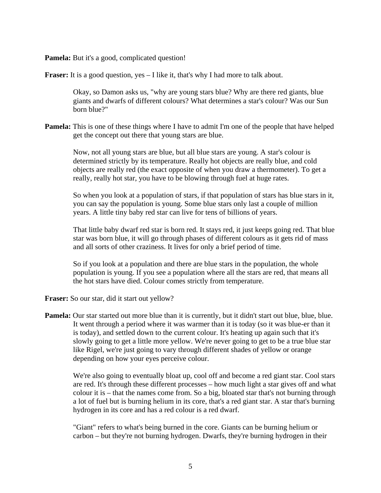**Pamela:** But it's a good, complicated question!

**Fraser:** It is a good question, yes – I like it, that's why I had more to talk about.

 Okay, so Damon asks us, "why are young stars blue? Why are there red giants, blue giants and dwarfs of different colours? What determines a star's colour? Was our Sun born blue?"

**Pamela:** This is one of these things where I have to admit I'm one of the people that have helped get the concept out there that young stars are blue.

 Now, not all young stars are blue, but all blue stars are young. A star's colour is determined strictly by its temperature. Really hot objects are really blue, and cold objects are really red (the exact opposite of when you draw a thermometer). To get a really, really hot star, you have to be blowing through fuel at huge rates.

 So when you look at a population of stars, if that population of stars has blue stars in it, you can say the population is young. Some blue stars only last a couple of million years. A little tiny baby red star can live for tens of billions of years.

 That little baby dwarf red star is born red. It stays red, it just keeps going red. That blue star was born blue, it will go through phases of different colours as it gets rid of mass and all sorts of other craziness. It lives for only a brief period of time.

 So if you look at a population and there are blue stars in the population, the whole population is young. If you see a population where all the stars are red, that means all the hot stars have died. Colour comes strictly from temperature.

**Fraser:** So our star, did it start out yellow?

**Pamela:** Our star started out more blue than it is currently, but it didn't start out blue, blue, blue. It went through a period where it was warmer than it is today (so it was blue-er than it is today), and settled down to the current colour. It's heating up again such that it's slowly going to get a little more yellow. We're never going to get to be a true blue star like Rigel, we're just going to vary through different shades of yellow or orange depending on how your eyes perceive colour.

We're also going to eventually bloat up, cool off and become a red giant star. Cool stars are red. It's through these different processes – how much light a star gives off and what colour it is – that the names come from. So a big, bloated star that's not burning through a lot of fuel but is burning helium in its core, that's a red giant star. A star that's burning hydrogen in its core and has a red colour is a red dwarf.

 "Giant" refers to what's being burned in the core. Giants can be burning helium or carbon – but they're not burning hydrogen. Dwarfs, they're burning hydrogen in their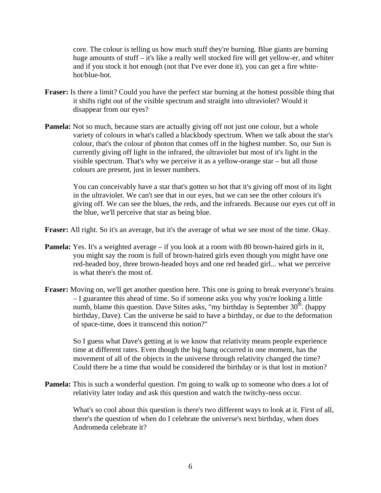core. The colour is telling us how much stuff they're burning. Blue giants are burning huge amounts of stuff – it's like a really well stocked fire will get yellow-er, and whiter and if you stock it hot enough (not that I've ever done it), you can get a fire whitehot/blue-hot.

- **Fraser:** Is there a limit? Could you have the perfect star burning at the hottest possible thing that it shifts right out of the visible spectrum and straight into ultraviolet? Would it disappear from our eyes?
- **Pamela:** Not so much, because stars are actually giving off not just one colour, but a whole variety of colours in what's called a blackbody spectrum. When we talk about the star's colour, that's the colour of photon that comes off in the highest number. So, our Sun is currently giving off light in the infrared, the ultraviolet but most of it's light in the visible spectrum. That's why we perceive it as a yellow-orange star – but all those colours are present, just in lesser numbers.

 You can conceivably have a star that's gotten so hot that it's giving off most of its light in the ultraviolet. We can't see that in our eyes, but we can see the other colours it's giving off. We can see the blues, the reds, and the infrareds. Because our eyes cut off in the blue, we'll perceive that star as being blue.

**Fraser:** All right. So it's an average, but it's the average of what we see most of the time. Okay.

- **Pamela:** Yes. It's a weighted average if you look at a room with 80 brown-haired girls in it, you might say the room is full of brown-haired girls even though you might have one red-headed boy, three brown-headed boys and one red headed girl... what we perceive is what there's the most of.
- **Fraser:** Moving on, we'll get another question here. This one is going to break everyone's brains – I guarantee this ahead of time. So if someone asks you why you're looking a little numb, blame this question. Dave Stites asks, "my birthday is September  $30<sup>th</sup>$ . (happy birthday, Dave). Can the universe be said to have a birthday, or due to the deformation of space-time, does it transcend this notion?"

 So I guess what Dave's getting at is we know that relativity means people experience time at different rates. Even though the big bang occurred in one moment, has the movement of all of the objects in the universe through relativity changed the time? Could there be a time that would be considered the birthday or is that lost in motion?

**Pamela:** This is such a wonderful question. I'm going to walk up to someone who does a lot of relativity later today and ask this question and watch the twitchy-ness occur.

 What's so cool about this question is there's two different ways to look at it. First of all, there's the question of when do I celebrate the universe's next birthday, when does Andromeda celebrate it?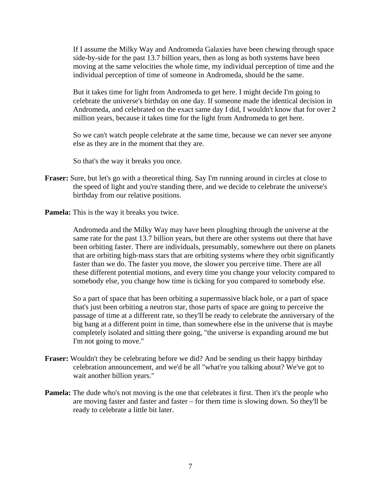If I assume the Milky Way and Andromeda Galaxies have been chewing through space side-by-side for the past 13.7 billion years, then as long as both systems have been moving at the same velocities the whole time, my individual perception of time and the individual perception of time of someone in Andromeda, should be the same.

 But it takes time for light from Andromeda to get here. I might decide I'm going to celebrate the universe's birthday on one day. If someone made the identical decision in Andromeda, and celebrated on the exact same day I did, I wouldn't know that for over 2 million years, because it takes time for the light from Andromeda to get here.

 So we can't watch people celebrate at the same time, because we can never see anyone else as they are in the moment that they are.

So that's the way it breaks you once.

- **Fraser:** Sure, but let's go with a theoretical thing. Say I'm running around in circles at close to the speed of light and you're standing there, and we decide to celebrate the universe's birthday from our relative positions.
- **Pamela:** This is the way it breaks you twice.

 Andromeda and the Milky Way may have been ploughing through the universe at the same rate for the past 13.7 billion years, but there are other systems out there that have been orbiting faster. There are individuals, presumably, somewhere out there on planets that are orbiting high-mass stars that are orbiting systems where they orbit significantly faster than we do. The faster you move, the slower you perceive time. There are all these different potential motions, and every time you change your velocity compared to somebody else, you change how time is ticking for you compared to somebody else.

 So a part of space that has been orbiting a supermassive black hole, or a part of space that's just been orbiting a neutron star, those parts of space are going to perceive the passage of time at a different rate, so they'll be ready to celebrate the anniversary of the big bang at a different point in time, than somewhere else in the universe that is maybe completely isolated and sitting there going, "the universe is expanding around me but I'm not going to move."

- **Fraser:** Wouldn't they be celebrating before we did? And be sending us their happy birthday celebration announcement, and we'd be all "what're you talking about? We've got to wait another billion years."
- **Pamela:** The dude who's not moving is the one that celebrates it first. Then it's the people who are moving faster and faster and faster – for them time is slowing down. So they'll be ready to celebrate a little bit later.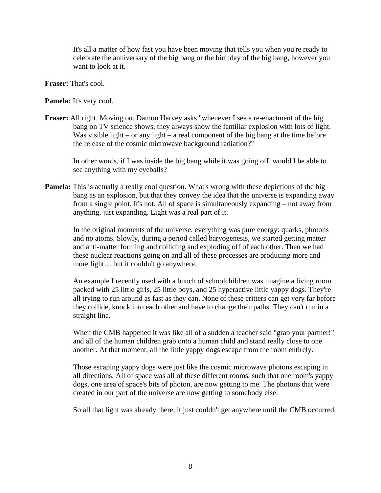It's all a matter of how fast you have been moving that tells you when you're ready to celebrate the anniversary of the big bang or the birthday of the big bang, however you want to look at it.

**Fraser:** That's cool.

Pamela: It's very cool.

**Fraser:** All right. Moving on. Damon Harvey asks "whenever I see a re-enactment of the big bang on TV science shows, they always show the familiar explosion with lots of light. Was visible light – or any light – a real component of the big bang at the time before the release of the cosmic microwave background radiation?"

 In other words, if I was inside the big bang while it was going off, would I be able to see anything with my eyeballs?

**Pamela:** This is actually a really cool question. What's wrong with these depictions of the big bang as an explosion, but that they convey the idea that the universe is expanding away from a single point. It's not. All of space is simultaneously expanding – not away from anything, just expanding. Light was a real part of it.

 In the original moments of the universe, everything was pure energy: quarks, photons and no atoms. Slowly, during a period called baryogenesis, we started getting matter and anti-matter forming and colliding and exploding off of each other. Then we had these nuclear reactions going on and all of these processes are producing more and more light… but it couldn't go anywhere.

 An example I recently used with a bunch of schoolchildren was imagine a living room packed with 25 little girls, 25 little boys, and 25 hyperactive little yappy dogs. They're all trying to run around as fast as they can. None of these critters can get very far before they collide, knock into each other and have to change their paths. They can't run in a straight line.

 When the CMB happened it was like all of a sudden a teacher said "grab your partner!" and all of the human children grab onto a human child and stand really close to one another. At that moment, all the little yappy dogs escape from the room entirely.

 Those escaping yappy dogs were just like the cosmic microwave photons escaping in all directions. All of space was all of these different rooms, such that one room's yappy dogs, one area of space's bits of photon, are now getting to me. The photons that were created in our part of the universe are now getting to somebody else.

So all that light was already there, it just couldn't get anywhere until the CMB occurred.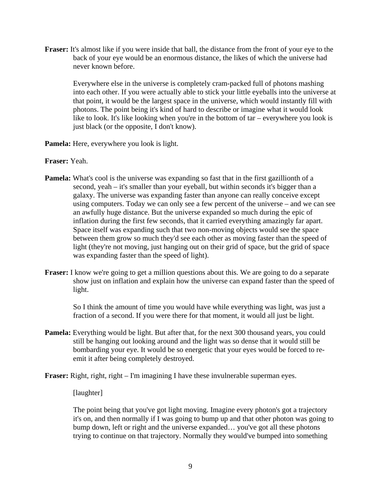**Fraser:** It's almost like if you were inside that ball, the distance from the front of your eye to the back of your eye would be an enormous distance, the likes of which the universe had never known before.

 Everywhere else in the universe is completely cram-packed full of photons mashing into each other. If you were actually able to stick your little eyeballs into the universe at that point, it would be the largest space in the universe, which would instantly fill with photons. The point being it's kind of hard to describe or imagine what it would look like to look. It's like looking when you're in the bottom of tar – everywhere you look is just black (or the opposite, I don't know).

- **Pamela:** Here, everywhere you look is light.
- **Fraser:** Yeah.
- **Pamela:** What's cool is the universe was expanding so fast that in the first gazillionth of a second, yeah – it's smaller than your eyeball, but within seconds it's bigger than a galaxy. The universe was expanding faster than anyone can really conceive except using computers. Today we can only see a few percent of the universe – and we can see an awfully huge distance. But the universe expanded so much during the epic of inflation during the first few seconds, that it carried everything amazingly far apart. Space itself was expanding such that two non-moving objects would see the space between them grow so much they'd see each other as moving faster than the speed of light (they're not moving, just hanging out on their grid of space, but the grid of space was expanding faster than the speed of light).
- **Fraser:** I know we're going to get a million questions about this. We are going to do a separate show just on inflation and explain how the universe can expand faster than the speed of light.

 So I think the amount of time you would have while everything was light, was just a fraction of a second. If you were there for that moment, it would all just be light.

**Pamela:** Everything would be light. But after that, for the next 300 thousand years, you could still be hanging out looking around and the light was so dense that it would still be bombarding your eye. It would be so energetic that your eyes would be forced to reemit it after being completely destroyed.

**Fraser:** Right, right, right – I'm imagining I have these invulnerable superman eyes.

## [laughter]

 The point being that you've got light moving. Imagine every photon's got a trajectory it's on, and then normally if I was going to bump up and that other photon was going to bump down, left or right and the universe expanded… you've got all these photons trying to continue on that trajectory. Normally they would've bumped into something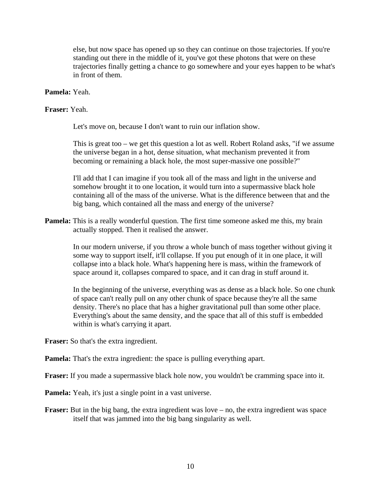else, but now space has opened up so they can continue on those trajectories. If you're standing out there in the middle of it, you've got these photons that were on these trajectories finally getting a chance to go somewhere and your eyes happen to be what's in front of them.

## **Pamela:** Yeah.

### **Fraser:** Yeah.

Let's move on, because I don't want to ruin our inflation show.

 This is great too – we get this question a lot as well. Robert Roland asks, "if we assume the universe began in a hot, dense situation, what mechanism prevented it from becoming or remaining a black hole, the most super-massive one possible?"

 I'll add that I can imagine if you took all of the mass and light in the universe and somehow brought it to one location, it would turn into a supermassive black hole containing all of the mass of the universe. What is the difference between that and the big bang, which contained all the mass and energy of the universe?

**Pamela:** This is a really wonderful question. The first time someone asked me this, my brain actually stopped. Then it realised the answer.

> In our modern universe, if you throw a whole bunch of mass together without giving it some way to support itself, it'll collapse. If you put enough of it in one place, it will collapse into a black hole. What's happening here is mass, within the framework of space around it, collapses compared to space, and it can drag in stuff around it.

 In the beginning of the universe, everything was as dense as a black hole. So one chunk of space can't really pull on any other chunk of space because they're all the same density. There's no place that has a higher gravitational pull than some other place. Everything's about the same density, and the space that all of this stuff is embedded within is what's carrying it apart.

**Fraser:** So that's the extra ingredient.

**Pamela:** That's the extra ingredient: the space is pulling everything apart.

**Fraser:** If you made a supermassive black hole now, you wouldn't be cramming space into it.

**Pamela:** Yeah, it's just a single point in a vast universe.

**Fraser:** But in the big bang, the extra ingredient was love – no, the extra ingredient was space itself that was jammed into the big bang singularity as well.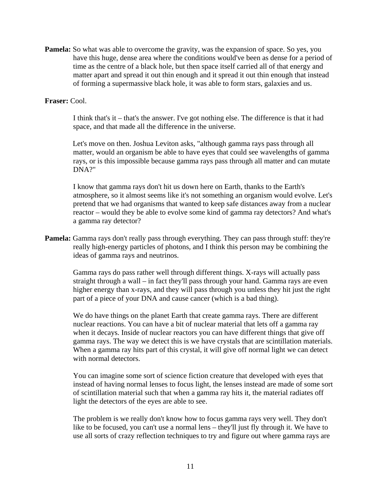**Pamela:** So what was able to overcome the gravity, was the expansion of space. So yes, you have this huge, dense area where the conditions would've been as dense for a period of time as the centre of a black hole, but then space itself carried all of that energy and matter apart and spread it out thin enough and it spread it out thin enough that instead of forming a supermassive black hole, it was able to form stars, galaxies and us.

#### **Fraser:** Cool.

 I think that's it – that's the answer. I've got nothing else. The difference is that it had space, and that made all the difference in the universe.

 Let's move on then. Joshua Leviton asks, "although gamma rays pass through all matter, would an organism be able to have eyes that could see wavelengths of gamma rays, or is this impossible because gamma rays pass through all matter and can mutate DNA?"

 I know that gamma rays don't hit us down here on Earth, thanks to the Earth's atmosphere, so it almost seems like it's not something an organism would evolve. Let's pretend that we had organisms that wanted to keep safe distances away from a nuclear reactor – would they be able to evolve some kind of gamma ray detectors? And what's a gamma ray detector?

**Pamela:** Gamma rays don't really pass through everything. They can pass through stuff: they're really high-energy particles of photons, and I think this person may be combining the ideas of gamma rays and neutrinos.

 Gamma rays do pass rather well through different things. X-rays will actually pass straight through a wall – in fact they'll pass through your hand. Gamma rays are even higher energy than x-rays, and they will pass through you unless they hit just the right part of a piece of your DNA and cause cancer (which is a bad thing).

We do have things on the planet Earth that create gamma rays. There are different nuclear reactions. You can have a bit of nuclear material that lets off a gamma ray when it decays. Inside of nuclear reactors you can have different things that give off gamma rays. The way we detect this is we have crystals that are scintillation materials. When a gamma ray hits part of this crystal, it will give off normal light we can detect with normal detectors.

 You can imagine some sort of science fiction creature that developed with eyes that instead of having normal lenses to focus light, the lenses instead are made of some sort of scintillation material such that when a gamma ray hits it, the material radiates off light the detectors of the eyes are able to see.

 The problem is we really don't know how to focus gamma rays very well. They don't like to be focused, you can't use a normal lens – they'll just fly through it. We have to use all sorts of crazy reflection techniques to try and figure out where gamma rays are